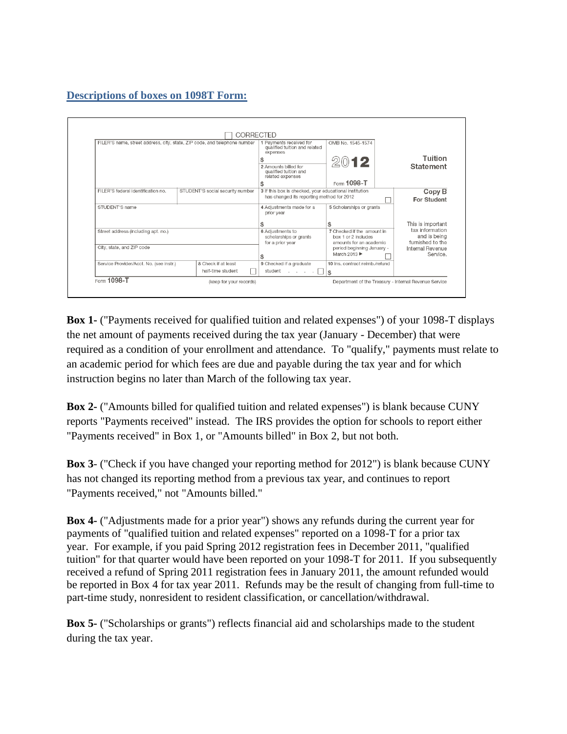## **Descriptions of boxes on 1098T Form:**

| FILER'S name, street address, city, state, ZIP code, and telephone number |                                  | 1 Payments received for<br>qualified tuition and related<br>expenses                                | OMB No. 1545-1574                                                            |         |                                                     |
|---------------------------------------------------------------------------|----------------------------------|-----------------------------------------------------------------------------------------------------|------------------------------------------------------------------------------|---------|-----------------------------------------------------|
|                                                                           |                                  |                                                                                                     | 2012                                                                         | Tuition |                                                     |
|                                                                           |                                  | 2 Amounts billed for<br>qualified tuition and<br>related expenses                                   |                                                                              |         | Statement                                           |
|                                                                           |                                  | S                                                                                                   | Form 1098-T                                                                  |         |                                                     |
| FILER'S federal identification no.                                        | STUDENT'S social security number | 3 If this box is checked, your educational institution<br>has changed its reporting method for 2012 |                                                                              |         | Copy B<br>For Student                               |
| STUDENT'S name                                                            |                                  | 4 Adjustments made for a<br>prior year                                                              | 5 Scholarships or grants                                                     |         |                                                     |
|                                                                           |                                  | \$                                                                                                  | \$                                                                           |         | This is important                                   |
| Street address (including apt. no.)                                       |                                  | 6 Adjustments to<br>scholarships or grants<br>for a prior year                                      | 7 Checked if the amount in<br>box 1 or 2 includes<br>amounts for an academic |         | tax information<br>and is being<br>furnished to the |
| City, state, and ZIP code                                                 |                                  |                                                                                                     | period beginning January -<br>March 2013 ▶                                   |         | Internal Revenue<br>Service.                        |
| Service Provider/Acct. No. (see instr.)                                   | 8 Check if at least              | 9 Checked If a graduate                                                                             | 10 Ins. contract reimb./refund                                               |         |                                                     |
|                                                                           | half-time student                | student                                                                                             | l\$                                                                          |         |                                                     |

**Box 1-** ("Payments received for qualified tuition and related expenses") of your 1098-T displays the net amount of payments received during the tax year (January - December) that were required as a condition of your enrollment and attendance. To "qualify," payments must relate to an academic period for which fees are due and payable during the tax year and for which instruction begins no later than March of the following tax year.

**Box 2-** ("Amounts billed for qualified tuition and related expenses") is blank because CUNY reports "Payments received" instead. The IRS provides the option for schools to report either "Payments received" in Box 1, or "Amounts billed" in Box 2, but not both.

**Box 3**- ("Check if you have changed your reporting method for 2012") is blank because CUNY has not changed its reporting method from a previous tax year, and continues to report "Payments received," not "Amounts billed."

**Box 4-** ("Adjustments made for a prior year") shows any refunds during the current year for payments of "qualified tuition and related expenses" reported on a 1098-T for a prior tax year. For example, if you paid Spring 2012 registration fees in December 2011, "qualified tuition" for that quarter would have been reported on your 1098-T for 2011. If you subsequently received a refund of Spring 2011 registration fees in January 2011, the amount refunded would be reported in Box 4 for tax year 2011. Refunds may be the result of changing from full-time to part-time study, nonresident to resident classification, or cancellation/withdrawal.

**Box 5-** ("Scholarships or grants") reflects financial aid and scholarships made to the student during the tax year.